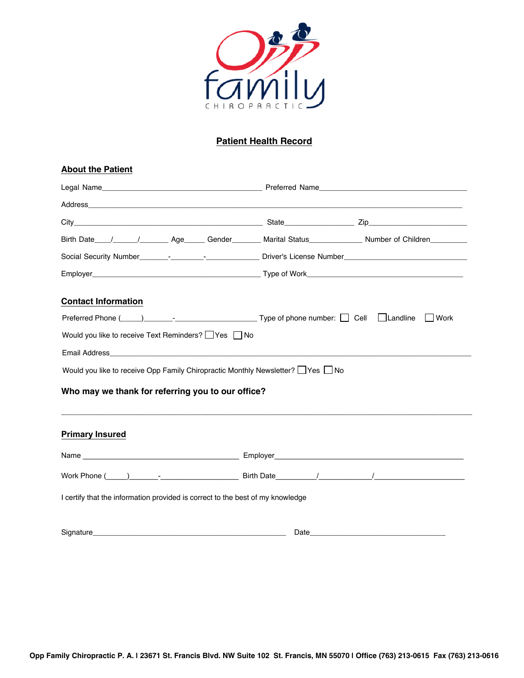

## **Patient Health Record**

| <b>About the Patient</b>                                                       |        |  |  |  |
|--------------------------------------------------------------------------------|--------|--|--|--|
|                                                                                |        |  |  |  |
|                                                                                |        |  |  |  |
|                                                                                |        |  |  |  |
|                                                                                |        |  |  |  |
|                                                                                |        |  |  |  |
|                                                                                |        |  |  |  |
| <b>Contact Information</b>                                                     |        |  |  |  |
|                                                                                | l Work |  |  |  |
| Would you like to receive Text Reminders? Pes No                               |        |  |  |  |
|                                                                                |        |  |  |  |
| Would you like to receive Opp Family Chiropractic Monthly Newsletter? Ves No   |        |  |  |  |
| Who may we thank for referring you to our office?                              |        |  |  |  |
| <b>Primary Insured</b>                                                         |        |  |  |  |
|                                                                                |        |  |  |  |
|                                                                                |        |  |  |  |
| I certify that the information provided is correct to the best of my knowledge |        |  |  |  |
|                                                                                |        |  |  |  |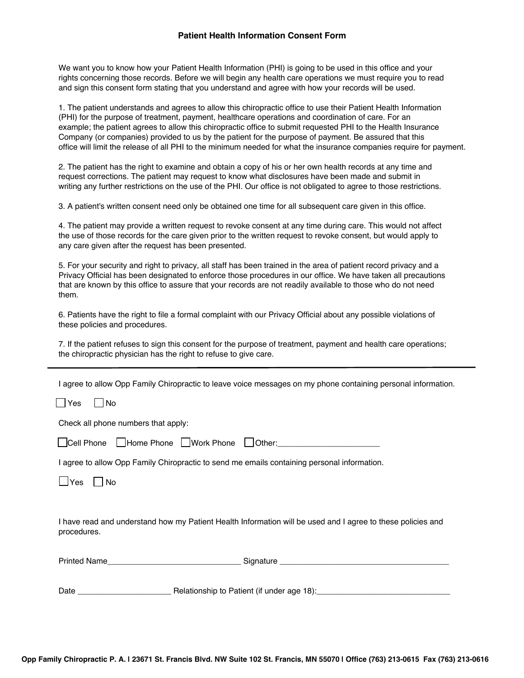## **Patient Health Information Consent Form**

We want you to know how your Patient Health Information (PHI) is going to be used in this office and your rights concerning those records. Before we will begin any health care operations we must require you to read and sign this consent form stating that you understand and agree with how your records will be used.

1. The patient understands and agrees to allow this chiropractic office to use their Patient Health Information (PHI) for the purpose of treatment, payment, healthcare operations and coordination of care. For an example; the patient agrees to allow this chiropractic office to submit requested PHI to the Health Insurance Company (or companies) provided to us by the patient for the purpose of payment. Be assured that this office will limit the release of all PHI to the minimum needed for what the insurance companies require for payment.

2. The patient has the right to examine and obtain a copy of his or her own health records at any time and request corrections. The patient may request to know what disclosures have been made and submit in writing any further restrictions on the use of the PHI. Our office is not obligated to agree to those restrictions.

3. A patient's written consent need only be obtained one time for all subsequent care given in this office.

4. The patient may provide a written request to revoke consent at any time during care. This would not affect the use of those records for the care given prior to the written request to revoke consent, but would apply to any care given after the request has been presented.

5. For your security and right to privacy, all staff has been trained in the area of patient record privacy and a Privacy Official has been designated to enforce those procedures in our office. We have taken all precautions that are known by this office to assure that your records are not readily available to those who do not need them.

6. Patients have the right to file a formal complaint with our Privacy Official about any possible violations of these policies and procedures.

7. If the patient refuses to sign this consent for the purpose of treatment, payment and health care operations; the chiropractic physician has the right to refuse to give care.

I agree to allow Opp Family Chiropractic to leave voice messages on my phone containing personal information.

 $\Box$ Yes  $\Box$ No

Check all phone numbers that apply:

|  | □Cell Phone □Home Phone □Work Phone □Other: |  |  |
|--|---------------------------------------------|--|--|
|--|---------------------------------------------|--|--|

I agree to allow Opp Family Chiropractic to send me emails containing personal information.

 $\Box$ Yes  $\Box$ No

I have read and understand how my Patient Health Information will be used and I agree to these policies and procedures.

| <b>Printed Name</b> | Signature                                  |  |  |
|---------------------|--------------------------------------------|--|--|
|                     |                                            |  |  |
|                     |                                            |  |  |
| Date                | Relationship to Patient (if under age 18): |  |  |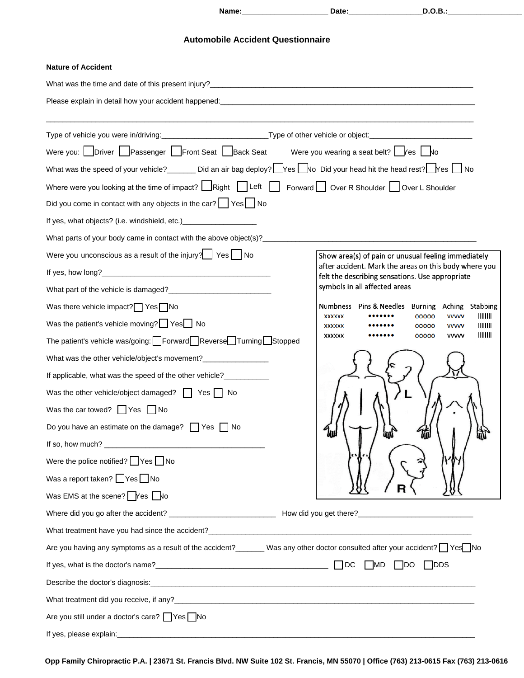**Name:\_\_\_\_\_\_\_\_\_\_\_\_\_\_\_\_\_\_\_\_\_ Date:\_\_\_\_\_\_\_\_\_\_\_\_\_\_\_\_\_\_D.O.B.:\_\_\_\_\_\_\_\_\_\_\_\_\_\_\_\_\_\_**

## **Automobile Accident Questionnaire**

| <b>Nature of Accident</b>                                                                                                                                                                                                       |                                                                                                                          |
|---------------------------------------------------------------------------------------------------------------------------------------------------------------------------------------------------------------------------------|--------------------------------------------------------------------------------------------------------------------------|
|                                                                                                                                                                                                                                 |                                                                                                                          |
| Please explain in detail how your accident happened:<br>and the contract of the contract of the contract of the contract of the contract of the contract of the contract of the contract of the contract of the contract of the |                                                                                                                          |
|                                                                                                                                                                                                                                 |                                                                                                                          |
|                                                                                                                                                                                                                                 |                                                                                                                          |
| Were you: Driver Passenger Front Seat Back Seat                                                                                                                                                                                 | Were you wearing a seat belt? $\Box$ Yes $\Box$ No                                                                       |
| What was the speed of your vehicle? Did an air bag deploy? $\Box$ Yes $\Box$ No Did your head hit the head rest? $\Box$ No                                                                                                      |                                                                                                                          |
| Where were you looking at the time of impact? $\Box$ Right $\Box$ Left $\Box$ Forward $\Box$ Over R Shoulder $\Box$ Over L Shoulder                                                                                             |                                                                                                                          |
| Did you come in contact with any objects in the car? SesSono                                                                                                                                                                    |                                                                                                                          |
| If yes, what objects? (i.e. windshield, etc.) _______________________                                                                                                                                                           |                                                                                                                          |
| What parts of your body came in contact with the above object(s)? __________________________________                                                                                                                            |                                                                                                                          |
| Were you unconscious as a result of the injury? $\Box$ Yes $\Box$ No                                                                                                                                                            | Show area(s) of pain or unusual feeling immediately                                                                      |
|                                                                                                                                                                                                                                 | after accident. Mark the areas on this body where you<br>felt the describing sensations. Use appropriate                 |
|                                                                                                                                                                                                                                 | symbols in all affected areas                                                                                            |
| Was there vehicle impact? Yes No                                                                                                                                                                                                | Pins & Needles Burning Aching Stabbing<br><b>Numbness</b>                                                                |
| Was the patient's vehicle moving? $\Box$ Yes $\Box$ No                                                                                                                                                                          | $\frac{1}{2}$<br><b>XXXXXX</b><br>00000<br><b>VVVVV</b><br>$\parallel$        <br>00000<br><b>VVVVV</b><br><b>XXXXXX</b> |
| The patient's vehicle was/going: Forward Reverse Turning Stopped                                                                                                                                                                | ШШ<br>00000<br><b>VVVVV</b><br><b>XXXXXX</b>                                                                             |
| What was the other vehicle/object's movement?__________________                                                                                                                                                                 |                                                                                                                          |
| If applicable, what was the speed of the other vehicle?___________                                                                                                                                                              |                                                                                                                          |
| Was the other vehicle/object damaged? $\Box$ Yes $\Box$ No                                                                                                                                                                      |                                                                                                                          |
| Was the car towed? $\Box$ Yes $\Box$ No                                                                                                                                                                                         |                                                                                                                          |
| Do you have an estimate on the damage? $\Box$ Yes $\Box$ No                                                                                                                                                                     | 鼎<br>ամ<br>ินม                                                                                                           |
|                                                                                                                                                                                                                                 |                                                                                                                          |
| Were the police notified? $\Box$ Yes $\Box$ No                                                                                                                                                                                  |                                                                                                                          |
| Was a report taken? $\Box$ Yes $\Box$ No                                                                                                                                                                                        |                                                                                                                          |
| Was EMS at the scene? $\bigcap$ Yes $\bigcap$ No                                                                                                                                                                                |                                                                                                                          |
|                                                                                                                                                                                                                                 |                                                                                                                          |
|                                                                                                                                                                                                                                 |                                                                                                                          |
| Are you having any symptoms as a result of the accident?_______ Was any other doctor consulted after your accident? Ves No                                                                                                      |                                                                                                                          |
|                                                                                                                                                                                                                                 |                                                                                                                          |
| Describe the doctor's diagnosis: example and a series of the series of the series of the series of the series of the series of the series of the series of the series of the series of the series of the series of the series   |                                                                                                                          |
|                                                                                                                                                                                                                                 |                                                                                                                          |
| Are you still under a doctor's care? Ves No                                                                                                                                                                                     |                                                                                                                          |
|                                                                                                                                                                                                                                 |                                                                                                                          |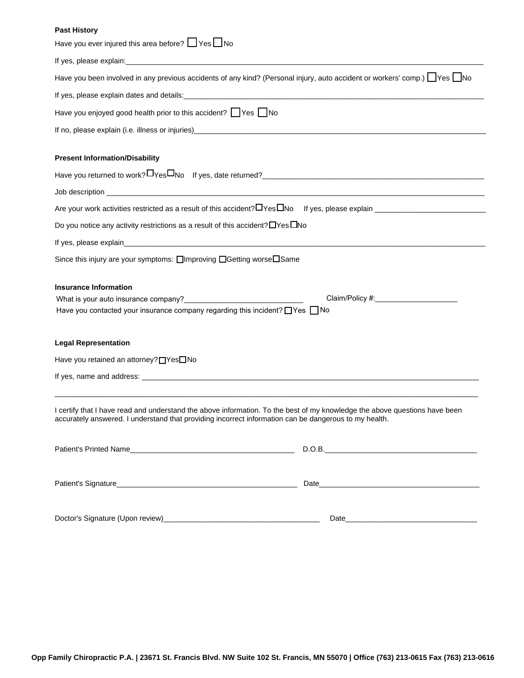## **Past History**

| Have you ever injured this area before? Ves No                                                                                                                                                                                                                                                                                                              |                                 |
|-------------------------------------------------------------------------------------------------------------------------------------------------------------------------------------------------------------------------------------------------------------------------------------------------------------------------------------------------------------|---------------------------------|
|                                                                                                                                                                                                                                                                                                                                                             |                                 |
| Have you been involved in any previous accidents of any kind? (Personal injury, auto accident or workers' comp.) Yes No                                                                                                                                                                                                                                     |                                 |
|                                                                                                                                                                                                                                                                                                                                                             |                                 |
| Have you enjoyed good health prior to this accident? Yes No                                                                                                                                                                                                                                                                                                 |                                 |
| If no, please explain (i.e. illness or injuries) [14] The Content of the Content of the Content of the Content of the Content of the Content of the Content of the Content of the Content of the Content of the Content of the                                                                                                                              |                                 |
| <b>Present Information/Disability</b>                                                                                                                                                                                                                                                                                                                       |                                 |
|                                                                                                                                                                                                                                                                                                                                                             |                                 |
|                                                                                                                                                                                                                                                                                                                                                             |                                 |
|                                                                                                                                                                                                                                                                                                                                                             |                                 |
| Do you notice any activity restrictions as a result of this accident? $\Box$ Yes $\Box$ No                                                                                                                                                                                                                                                                  |                                 |
|                                                                                                                                                                                                                                                                                                                                                             |                                 |
| Since this injury are your symptoms: □Improving □Getting worse□Same                                                                                                                                                                                                                                                                                         |                                 |
| <b>Insurance Information</b><br>What is your auto insurance company?<br>Minimum and the state of the state of the state of the state of the state of the state of the state of the state of the state of the state of the state of the state of the state of the<br>Have you contacted your insurance company regarding this incident? $\Box$ Yes $\Box$ No | Claim/Policy #: Claim/Policy #: |
| <b>Legal Representation</b>                                                                                                                                                                                                                                                                                                                                 |                                 |
| Have you retained an attorney? nes No                                                                                                                                                                                                                                                                                                                       |                                 |
|                                                                                                                                                                                                                                                                                                                                                             |                                 |
| I certify that I have read and understand the above information. To the best of my knowledge the above questions have been<br>accurately answered. I understand that providing incorrect information can be dangerous to my health.                                                                                                                         |                                 |
|                                                                                                                                                                                                                                                                                                                                                             |                                 |
|                                                                                                                                                                                                                                                                                                                                                             |                                 |
|                                                                                                                                                                                                                                                                                                                                                             |                                 |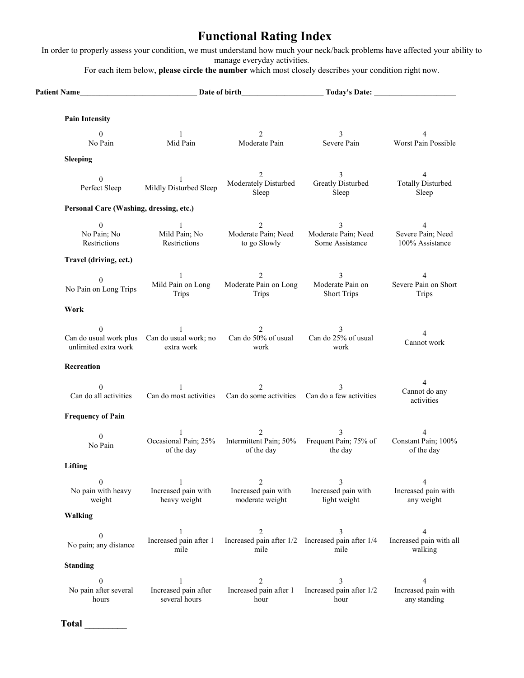# **Functional Rating Index**

In order to properly assess your condition, we must understand how much your neck/back problems have affected your ability to manage everyday activities.

For each item below, **please circle the number** which most closely describes your condition right now.

| Patient Name Date of birth               |                                                                            |                                                                                                   | Today's Date:                                                  |                                               |
|------------------------------------------|----------------------------------------------------------------------------|---------------------------------------------------------------------------------------------------|----------------------------------------------------------------|-----------------------------------------------|
| <b>Pain Intensity</b>                    |                                                                            |                                                                                                   |                                                                |                                               |
| $\theta$<br>No Pain                      | $\mathbf{1}$<br>Mid Pain                                                   | $\overline{2}$<br>Moderate Pain                                                                   | 3<br>Severe Pain                                               | 4<br>Worst Pain Possible                      |
| <b>Sleeping</b>                          |                                                                            |                                                                                                   |                                                                |                                               |
| $\overline{0}$<br>Perfect Sleep          | $\mathbf{1}$<br>Mildly Disturbed Sleep                                     | 2<br>Sleep                                                                                        | 3<br>Moderately Disturbed Greatly Disturbed<br>Sleep           | 4<br><b>Totally Disturbed</b><br>Sleep        |
|                                          | Personal Care (Washing, dressing, etc.)                                    |                                                                                                   |                                                                |                                               |
| $\theta$<br>No Pain; No<br>Restrictions  | 1.<br>Mild Pain; No<br>Restrictions                                        | 2<br>Moderate Pain; Need<br>to go Slowly                                                          | 3<br>Moderate Pain; Need<br>Some Assistance                    | 4<br>Severe Pain; Need<br>100% Assistance     |
| Travel (driving, ect.)                   |                                                                            |                                                                                                   |                                                                |                                               |
| $\theta$<br>No Pain on Long Trips        | $\mathbf{1}$<br>Trips                                                      | 2<br>Mild Pain on Long Moderate Pain on Long<br>Trips                                             | 3<br>Moderate Pain on<br><b>Short Trips</b>                    | 4<br>Severe Pain on Short<br>Trips            |
| Work                                     |                                                                            |                                                                                                   |                                                                |                                               |
| $\theta$<br>unlimited extra work         | $\mathbf{1}$<br>Can do usual work plus Can do usual work; no<br>extra work | $\overline{2}$<br>work                                                                            | 3<br>Can do 50% of usual Can do 25% of usual<br>work           | Cannot work                                   |
| Recreation                               |                                                                            |                                                                                                   |                                                                |                                               |
| $\Omega$<br>Can do all activities        | $\sim$ 1                                                                   | 2<br>Can do most activities Can do some activities Can do a few activities                        | $\mathcal{E}$                                                  | $\overline{4}$<br>Cannot do any<br>activities |
| <b>Frequency of Pain</b>                 |                                                                            |                                                                                                   |                                                                |                                               |
| $\overline{0}$<br>No Pain                | $\mathbf{1}$<br>of the day                                                 | $\overline{2}$<br>Occasional Pain; 25% Intermittent Pain; 50% Frequent Pain; 75% of<br>of the day | 3<br>the day                                                   | 4<br>Constant Pain; 100%<br>of the day        |
| Lifting                                  |                                                                            |                                                                                                   |                                                                |                                               |
| $\theta$<br>No pain with heavy<br>weight | Increased pain with<br>heavy weight                                        | $\overline{c}$<br>Increased pain with<br>moderate weight                                          | Increased pain with<br>light weight                            | Increased pain with<br>any weight             |
| Walking                                  |                                                                            |                                                                                                   |                                                                |                                               |
| $\theta$<br>No pain; any distance        | Increased pain after 1<br>mile                                             | $\overline{2}$<br>mile                                                                            | 3<br>Increased pain after 1/2 Increased pain after 1/4<br>mile | Increased pain with all<br>walking            |
| <b>Standing</b>                          |                                                                            |                                                                                                   |                                                                |                                               |
| 0<br>No pain after several<br>hours      | Increased pain after<br>several hours                                      | $\overline{2}$<br>Increased pain after 1<br>hour                                                  | 3<br>Increased pain after 1/2<br>hour                          | 4<br>Increased pain with<br>any standing      |

**Total \_\_\_\_\_\_\_\_\_**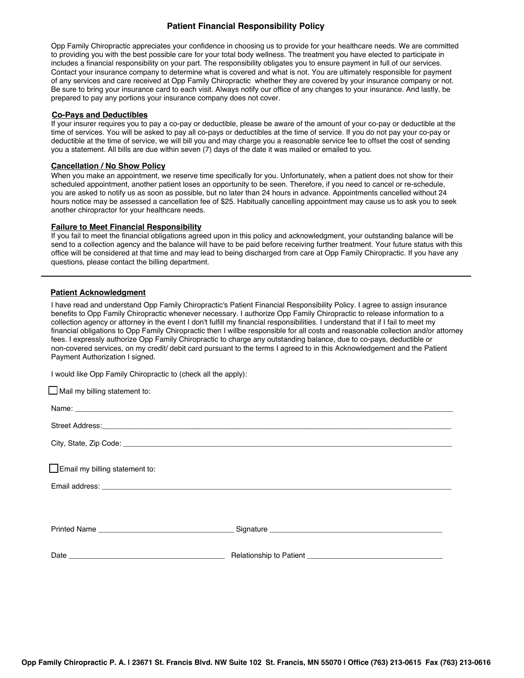## **Patient Financial Responsibility Policy**

Opp Family Chiropractic appreciates your confidence in choosing us to provide for your healthcare needs. We are committed to providing you with the best possible care for your total body wellness. The treatment you have elected to participate in includes a financial responsibility on your part. The responsibility obligates you to ensure payment in full of our services. Contact your insurance company to determine what is covered and what is not. You are ultimately responsible for payment of any services and care received at Opp Family Chiropractic whether they are covered by your insurance company or not. Be sure to bring your insurance card to each visit. Always notify our office of any changes to your insurance. And lastly, be prepared to pay any portions your insurance company does not cover.

#### **Co-Pays and Deductibles**

If your insurer requires you to pay a co-pay or deductible, please be aware of the amount of your co-pay or deductible at the time of services. You will be asked to pay all co-pays or deductibles at the time of service. If you do not pay your co-pay or deductible at the time of service, we will bill you and may charge you a reasonable service fee to offset the cost of sending you a statement. All bills are due within seven (7) days of the date it was mailed or emailed to you.

#### **Cancellation / No Show Policy**

When you make an appointment, we reserve time specifically for you. Unfortunately, when a patient does not show for their scheduled appointment, another patient loses an opportunity to be seen. Therefore, if you need to cancel or re-schedule, you are asked to notify us as soon as possible, but no later than 24 hours in advance. Appointments cancelled without 24 hours notice may be assessed a cancellation fee of \$25. Habitually cancelling appointment may cause us to ask you to seek another chiropractor for your healthcare needs.

#### **Failure to Meet Financial Responsibility**

If you fail to meet the financial obligations agreed upon in this policy and acknowledgment, your outstanding balance will be send to a collection agency and the balance will have to be paid before receiving further treatment. Your future status with this office will be considered at that time and may lead to being discharged from care at Opp Family Chiropractic. If you have any questions, please contact the billing department.

#### **Patient Acknowledgment**

I have read and understand Opp Family Chiropractic's Patient Financial Responsibility Policy. I agree to assign insurance benefits to Opp Family Chiropractic whenever necessary. I authorize Opp Family Chiropractic to release information to a collection agency or attorney in the event I don't fulfill my financial responsibilities. I understand that if I fail to meet my financial obligations to Opp Family Chiropractic then I willbe responsible for all costs and reasonable collection and/or attorney fees. I expressly authorize Opp Family Chiropractic to charge any outstanding balance, due to co-pays, deductible or non-covered services, on my credit/ debit card pursuant to the terms I agreed to in this Acknowledgement and the Patient Payment Authorization I signed.

I would like Opp Family Chiropractic to (check all the apply):

| $\Box$ Mail my billing statement to:  |  |
|---------------------------------------|--|
|                                       |  |
|                                       |  |
|                                       |  |
|                                       |  |
| $\Box$ Email my billing statement to: |  |
|                                       |  |
|                                       |  |
|                                       |  |
|                                       |  |
|                                       |  |
|                                       |  |